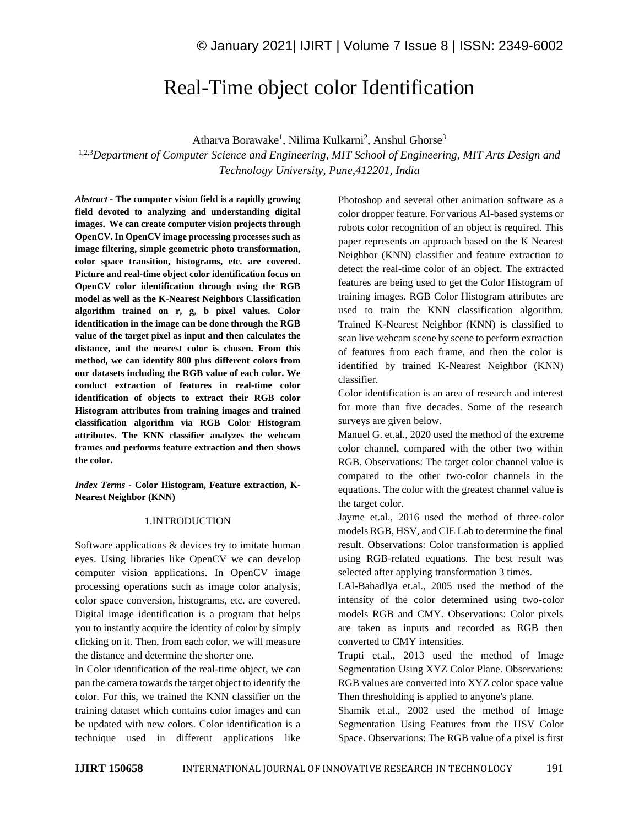# Real-Time object color Identification

Atharva Borawake<sup>1</sup>, Nilima Kulkarni<sup>2</sup>, Anshul Ghorse<sup>3</sup>

1,2,3*Department of Computer Science and Engineering, MIT School of Engineering, MIT Arts Design and Technology University, Pune,412201, India*

*Abstract -* **The computer vision field is a rapidly growing field devoted to analyzing and understanding digital images. We can create computer vision projects through OpenCV. In OpenCV image processing processes such as image filtering, simple geometric photo transformation, color space transition, histograms, etc. are covered. Picture and real-time object color identification focus on OpenCV color identification through using the RGB model as well as the K-Nearest Neighbors Classification algorithm trained on r, g, b pixel values. Color identification in the image can be done through the RGB value of the target pixel as input and then calculates the distance, and the nearest color is chosen. From this method, we can identify 800 plus different colors from our datasets including the RGB value of each color. We conduct extraction of features in real-time color identification of objects to extract their RGB color Histogram attributes from training images and trained classification algorithm via RGB Color Histogram attributes. The KNN classifier analyzes the webcam frames and performs feature extraction and then shows the color.**

*Index Terms -* **Color Histogram, Feature extraction, K-Nearest Neighbor (KNN)**

### 1.INTRODUCTION

Software applications & devices try to imitate human eyes. Using libraries like OpenCV we can develop computer vision applications. In OpenCV image processing operations such as image color analysis, color space conversion, histograms, etc. are covered. Digital image identification is a program that helps you to instantly acquire the identity of color by simply clicking on it. Then, from each color, we will measure the distance and determine the shorter one.

In Color identification of the real-time object, we can pan the camera towards the target object to identify the color. For this, we trained the KNN classifier on the training dataset which contains color images and can be updated with new colors. Color identification is a technique used in different applications like Photoshop and several other animation software as a color dropper feature. For various AI-based systems or robots color recognition of an object is required. This paper represents an approach based on the K Nearest Neighbor (KNN) classifier and feature extraction to detect the real-time color of an object. The extracted features are being used to get the Color Histogram of training images. RGB Color Histogram attributes are used to train the KNN classification algorithm. Trained K-Nearest Neighbor (KNN) is classified to scan live webcam scene by scene to perform extraction of features from each frame, and then the color is identified by trained K-Nearest Neighbor (KNN) classifier.

Color identification is an area of research and interest for more than five decades. Some of the research surveys are given below.

Manuel G. et.al., 2020 used the method of the extreme color channel, compared with the other two within RGB. Observations: The target color channel value is compared to the other two-color channels in the equations. The color with the greatest channel value is the target color.

Jayme et.al., 2016 used the method of three-color models RGB, HSV, and CIE Lab to determine the final result. Observations: Color transformation is applied using RGB-related equations. The best result was selected after applying transformation 3 times.

I.Al-Bahadlya et.al., 2005 used the method of the intensity of the color determined using two-color models RGB and CMY. Observations: Color pixels are taken as inputs and recorded as RGB then converted to CMY intensities.

Trupti et.al., 2013 used the method of Image Segmentation Using XYZ Color Plane. Observations: RGB values are converted into XYZ color space value Then thresholding is applied to anyone's plane.

Shamik et.al., 2002 used the method of Image Segmentation Using Features from the HSV Color Space. Observations: The RGB value of a pixel is first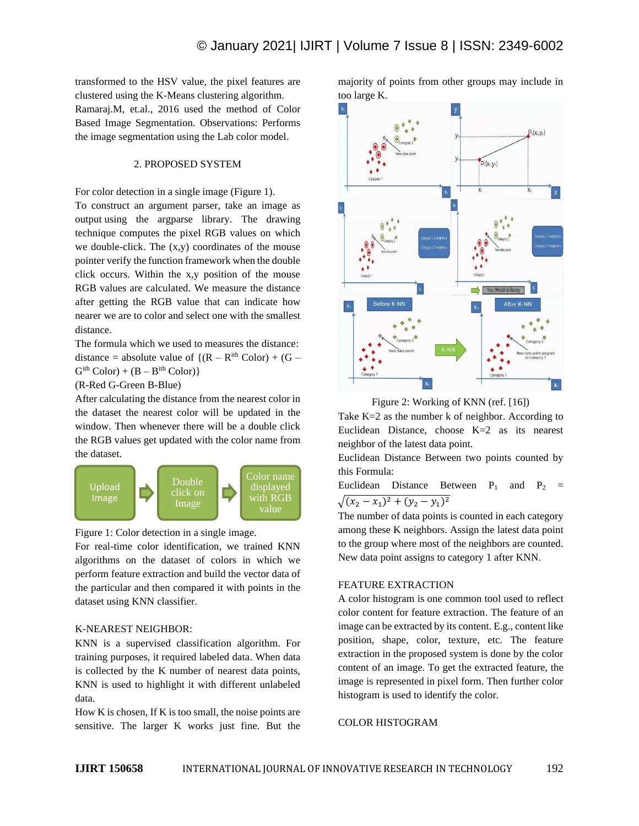transformed to the HSV value, the pixel features are clustered using the K-Means clustering algorithm. Ramaraj.M, et.al., 2016 used the method of Color Based Image Segmentation. Observations: Performs the image segmentation using the Lab color model.

### 2. PROPOSED SYSTEM

For color detection in a single image (Figure 1). To construct an argument parser, take an image as output using the argparse library. The drawing technique computes the pixel RGB values on which we double-click. The  $(x,y)$  coordinates of the mouse pointer verify the function framework when the double click occurs. Within the x,y position of the mouse RGB values are calculated. We measure the distance after getting the RGB value that can indicate how nearer we are to color and select one with the smallest distance.

The formula which we used to measures the distance: distance = absolute value of  $\{(R - R^{ith} Color) + (G - R^{ith} C^{ith})\}$  $G<sup>ith</sup> Color) + (B - B<sup>ith</sup> Color)$ 

(R-Red G-Green B-Blue)

After calculating the distance from the nearest color in the dataset the nearest color will be updated in the window. Then whenever there will be a double click the RGB values get updated with the color name from the dataset.





For real-time color identification, we trained KNN algorithms on the dataset of colors in which we perform feature extraction and build the vector data of the particular and then compared it with points in the dataset using KNN classifier.

### K-NEAREST NEIGHBOR:

KNN is a supervised classification algorithm. For training purposes, it required labeled data. When data is collected by the K number of nearest data points, KNN is used to highlight it with different unlabeled data.

How K is chosen, If K is too small, the noise points are sensitive. The larger K works just fine. But the majority of points from other groups may include in too large K.



Figure 2: Working of KNN (ref. [16])

Take K=2 as the number k of neighbor. According to Euclidean Distance, choose K=2 as its nearest neighbor of the latest data point.

Euclidean Distance Between two points counted by this Formula:

Euclidean Distance Between  $P_1$  and  $P_2$  =  $\sqrt{(x_2 - x_1)^2 + (y_2 - y_1)^2}$ 

The number of data points is counted in each category among these K neighbors. Assign the latest data point to the group where most of the neighbors are counted. New data point assigns to category 1 after KNN.

### FEATURE EXTRACTION

A color histogram is one common tool used to reflect color content for feature extraction. The feature of an image can be extracted by its content. E.g., content like position, shape, color, texture, etc. The feature extraction in the proposed system is done by the color content of an image. To get the extracted feature, the image is represented in pixel form. Then further color histogram is used to identify the color.

### COLOR HISTOGRAM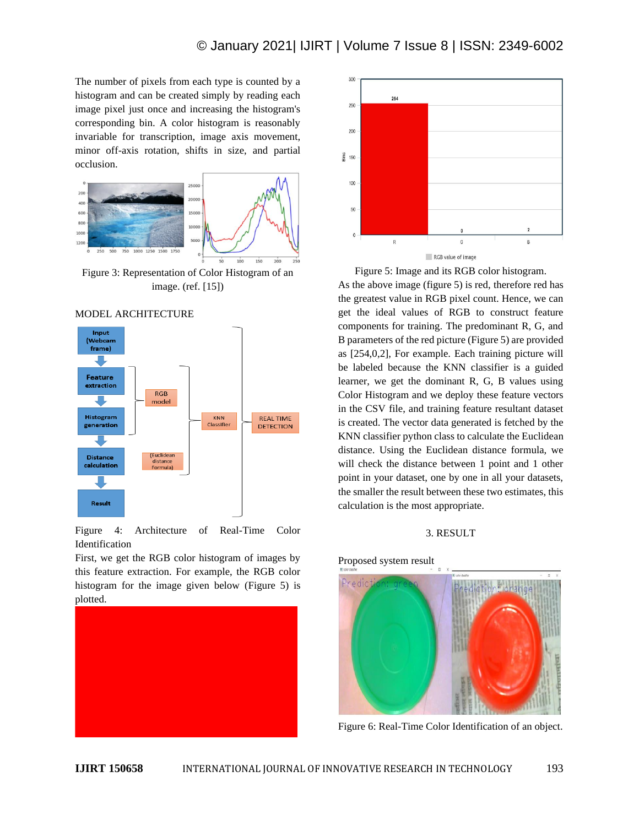The number of pixels from each type is counted by a histogram and can be created simply by reading each image pixel just once and increasing the histogram's corresponding bin. A color histogram is reasonably invariable for transcription, image axis movement, minor off-axis rotation, shifts in size, and partial occlusion.



image. (ref. [15])





Figure 4: Architecture of Real-Time Color Identification

First, we get the RGB color histogram of images by this feature extraction. For example, the RGB color histogram for the image given below (Figure 5) is plotted.





Figure 5: Image and its RGB color histogram.

As the above image (figure 5) is red, therefore red has the greatest value in RGB pixel count. Hence, we can get the ideal values of RGB to construct feature components for training. The predominant R, G, and B parameters of the red picture (Figure 5) are provided as [254,0,2], For example. Each training picture will be labeled because the KNN classifier is a guided learner, we get the dominant R, G, B values using Color Histogram and we deploy these feature vectors in the CSV file, and training feature resultant dataset is created. The vector data generated is fetched by the KNN classifier python class to calculate the Euclidean distance. Using the Euclidean distance formula, we will check the distance between 1 point and 1 other point in your dataset, one by one in all your datasets, the smaller the result between these two estimates, this calculation is the most appropriate.

### 3. RESULT

Proposed system result



Figure 6: Real-Time Color Identification of an object.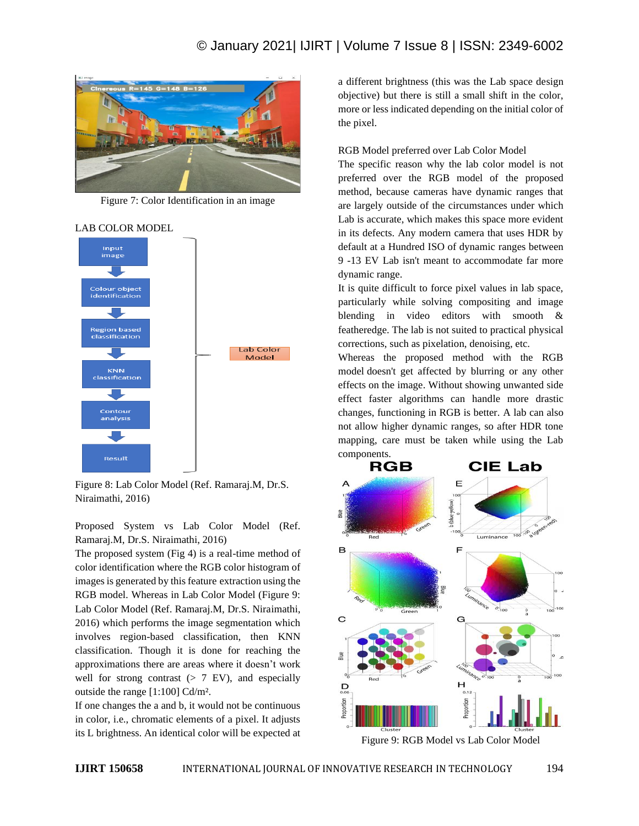### © January 2021| IJIRT | Volume 7 Issue 8 | ISSN: 2349-6002



Figure 7: Color Identification in an image

## Input image Colour object identification Region based<br>classification Lab Color Model KNN<br>classification J. Contour analysis ┚┖ Result

Figure 8: Lab Color Model (Ref. Ramaraj.M, Dr.S. Niraimathi, 2016)

Proposed System vs Lab Color Model (Ref. Ramaraj.M, Dr.S. Niraimathi, 2016)

The proposed system (Fig 4) is a real-time method of color identification where the RGB color histogram of images is generated by this feature extraction using the RGB model. Whereas in Lab Color Model (Figure 9: Lab Color Model (Ref. Ramaraj.M, Dr.S. Niraimathi, 2016) which performs the image segmentation which involves region-based classification, then KNN classification. Though it is done for reaching the approximations there are areas where it doesn't work well for strong contrast  $(> 7 \text{ EV})$ , and especially outside the range [1:100] Cd/m².

If one changes the a and b, it would not be continuous in color, i.e., chromatic elements of a pixel. It adjusts its L brightness. An identical color will be expected at a different brightness (this was the Lab space design objective) but there is still a small shift in the color, more or less indicated depending on the initial color of the pixel.

### RGB Model preferred over Lab Color Model

The specific reason why the lab color model is not preferred over the RGB model of the proposed method, because cameras have dynamic ranges that are largely outside of the circumstances under which Lab is accurate, which makes this space more evident in its defects. Any modern camera that uses HDR by default at a Hundred ISO of dynamic ranges between 9 -13 EV Lab isn't meant to accommodate far more dynamic range.

It is quite difficult to force pixel values in lab space, particularly while solving compositing and image blending in video editors with smooth & featheredge. The lab is not suited to practical physical corrections, such as pixelation, denoising, etc.

Whereas the proposed method with the RGB model doesn't get affected by blurring or any other effects on the image. Without showing unwanted side effect faster algorithms can handle more drastic changes, functioning in RGB is better. A lab can also not allow higher dynamic ranges, so after HDR tone mapping, care must be taken while using the Lab components.



Figure 9: RGB Model vs Lab Color Model

### LAB COLOR MODEL